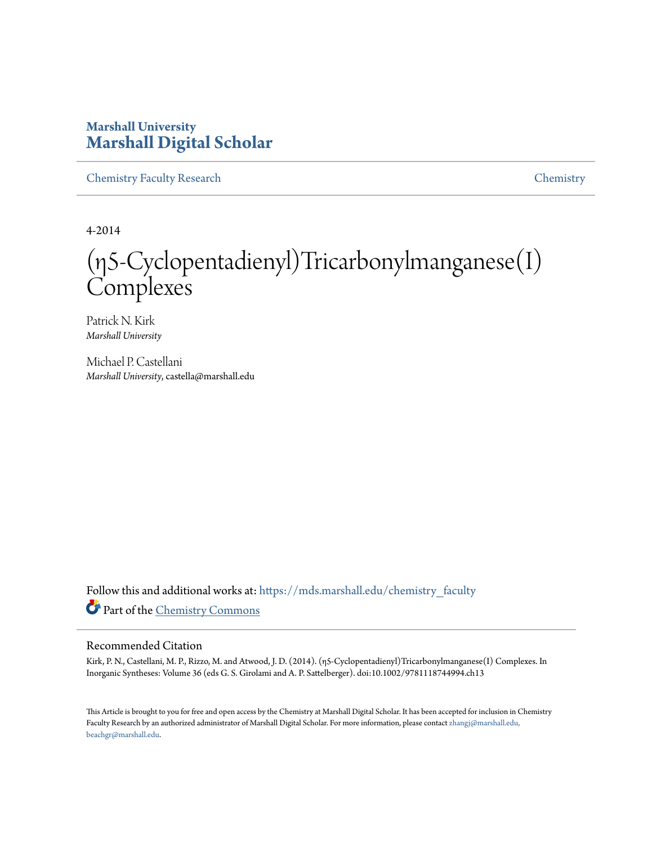## **Marshall University [Marshall Digital Scholar](https://mds.marshall.edu?utm_source=mds.marshall.edu%2Fchemistry_faculty%2F25&utm_medium=PDF&utm_campaign=PDFCoverPages)**

[Chemistry Faculty Research](https://mds.marshall.edu/chemistry_faculty?utm_source=mds.marshall.edu%2Fchemistry_faculty%2F25&utm_medium=PDF&utm_campaign=PDFCoverPages) [Chemistry](https://mds.marshall.edu/chemistry?utm_source=mds.marshall.edu%2Fchemistry_faculty%2F25&utm_medium=PDF&utm_campaign=PDFCoverPages)

4-2014

# (η5‐Cyclopentadienyl)Tricarbonylmanganese(I) **Complexes**

Patrick N. Kirk *Marshall University*

Michael P. Castellani *Marshall University*, castella@marshall.edu

Follow this and additional works at: [https://mds.marshall.edu/chemistry\\_faculty](https://mds.marshall.edu/chemistry_faculty?utm_source=mds.marshall.edu%2Fchemistry_faculty%2F25&utm_medium=PDF&utm_campaign=PDFCoverPages) Part of the [Chemistry Commons](http://network.bepress.com/hgg/discipline/131?utm_source=mds.marshall.edu%2Fchemistry_faculty%2F25&utm_medium=PDF&utm_campaign=PDFCoverPages)

#### Recommended Citation

Kirk, P. N., Castellani, M. P., Rizzo, M. and Atwood, J. D. (2014). (η5‐Cyclopentadienyl)Tricarbonylmanganese(I) Complexes. In Inorganic Syntheses: Volume 36 (eds G. S. Girolami and A. P. Sattelberger). doi:10.1002/9781118744994.ch13

This Article is brought to you for free and open access by the Chemistry at Marshall Digital Scholar. It has been accepted for inclusion in Chemistry Faculty Research by an authorized administrator of Marshall Digital Scholar. For more information, please contact [zhangj@marshall.edu,](mailto:zhangj@marshall.edu,%20beachgr@marshall.edu) [beachgr@marshall.edu](mailto:zhangj@marshall.edu,%20beachgr@marshall.edu).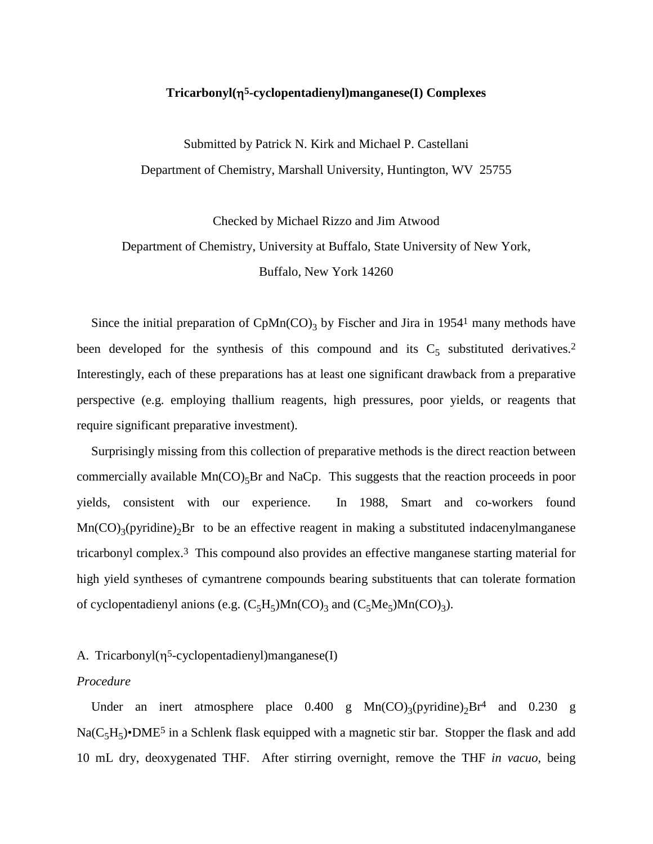#### **Tricarbonyl(**η**5-cyclopentadienyl)manganese(I) Complexes**

Submitted by Patrick N. Kirk and Michael P. Castellani Department of Chemistry, Marshall University, Huntington, WV 25755

Checked by Michael Rizzo and Jim Atwood Department of Chemistry, University at Buffalo, State University of New York, Buffalo, New York 14260

Since the initial preparation of  $CpMn(CO)<sub>3</sub>$  by Fischer and Jira in 1954<sup>1</sup> many methods have been developed for the synthesis of this compound and its  $C_5$  substituted derivatives.<sup>2</sup> Interestingly, each of these preparations has at least one significant drawback from a preparative perspective (e.g. employing thallium reagents, high pressures, poor yields, or reagents that require significant preparative investment).

Surprisingly missing from this collection of preparative methods is the direct reaction between commercially available  $Mn(CO)_{5}Br$  and NaCp. This suggests that the reaction proceeds in poor yields, consistent with our experience. In 1988, Smart and co-workers found  $Mn(CO)_{3}(pyridine)_{2}Br$  to be an effective reagent in making a substituted indacenylmanganese tricarbonyl complex.3 This compound also provides an effective manganese starting material for high yield syntheses of cymantrene compounds bearing substituents that can tolerate formation of cyclopentadienyl anions (e.g.  $(C_5H_5)Mn(CO)_3$  and  $(C_5Me_5)Mn(CO)_3$ ).

#### A. Tricarbonyl $(\eta^5$ -cyclopentadienyl)manganese(I)

#### *Procedure*

Under an inert atmosphere place  $0.400$  g  $Mn(CO)_{3}(pyridine)_{2}Br^{4}$  and  $0.230$  g  $Na(C<sub>5</sub>H<sub>5</sub>)$ •DME<sup>5</sup> in a Schlenk flask equipped with a magnetic stir bar. Stopper the flask and add 10 mL dry, deoxygenated THF. After stirring overnight, remove the THF *in vacuo*, being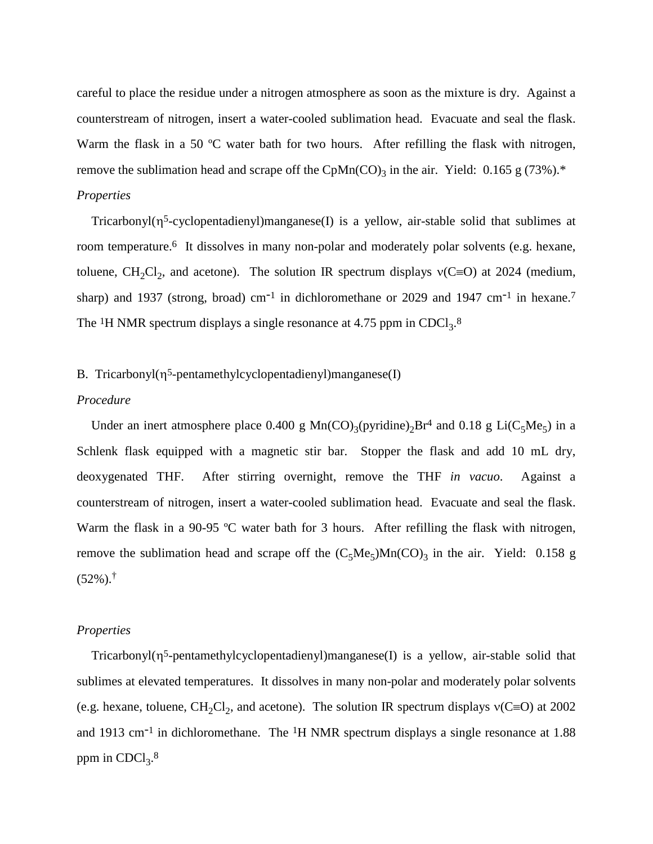careful to place the residue under a nitrogen atmosphere as soon as the mixture is dry. Against a counterstream of nitrogen, insert a water-cooled sublimation head. Evacuate and seal the flask. Warm the flask in a 50 °C water bath for two hours. After refilling the flask with nitrogen, remove the sublimation head and scrape off the CpMn(CO)<sub>3</sub> in the air. Yield: 0.165 g (73%).\* *Properties*

Tricarbonyl( $\eta^5$ -cyclopentadienyl)manganese(I) is a yellow, air-stable solid that sublimes at room temperature. 6 It dissolves in many non-polar and moderately polar solvents (e.g. hexane, toluene, CH<sub>2</sub>Cl<sub>2</sub>, and acetone). The solution IR spectrum displays  $v(C=O)$  at 2024 (medium, sharp) and 1937 (strong, broad) cm<sup>-1</sup> in dichloromethane or 2029 and 1947 cm<sup>-1</sup> in hexane.<sup>7</sup> The <sup>1</sup>H NMR spectrum displays a single resonance at 4.75 ppm in CDCl<sub>3</sub>.<sup>8</sup>

#### B. Tricarbonyl(η<sup>5</sup>-pentamethylcyclopentadienyl)manganese(I)

#### *Procedure*

Under an inert atmosphere place 0.400 g  $Mn(CO)_{3}(pyridine)_{2}Br^{4}$  and 0.18 g Li(C<sub>5</sub>Me<sub>5</sub>) in a Schlenk flask equipped with a magnetic stir bar. Stopper the flask and add 10 mL dry, deoxygenated THF. After stirring overnight, remove the THF *in vacuo*. Against a counterstream of nitrogen, insert a water-cooled sublimation head. Evacuate and seal the flask. Warm the flask in a 90-95 °C water bath for 3 hours. After refilling the flask with nitrogen, remove the sublimation head and scrape off the  $(C_5Me_5)Mn(CO)_3$  in the air. Yield: 0.158 g  $(52\%)$ .<sup>†</sup>

#### *Properties*

Tricarbonyl(η5-pentamethylcyclopentadienyl)manganese(I) is a yellow, air-stable solid that sublimes at elevated temperatures. It dissolves in many non-polar and moderately polar solvents (e.g. hexane, toluene,  $CH_2Cl_2$ , and acetone). The solution IR spectrum displays  $v(C=O)$  at 2002 and 1913 cm-1 in dichloromethane. The 1H NMR spectrum displays a single resonance at 1.88 ppm in  $CDCl<sub>3</sub>$ .<sup>8</sup>